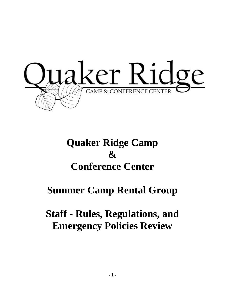

# **Quaker Ridge Camp & Conference Center**

# **Summer Camp Rental Group**

# **Staff - Rules, Regulations, and Emergency Policies Review**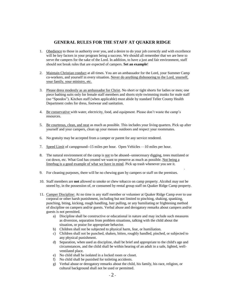### **GENERAL RULES FOR THE STAFF AT QUAKER RIDGE**

- 1. Obedience to those in authority over you, and a desire to do your job correctly and with excellence will be key factors in your program being a success. We should all remember that we are here to serve the campers for the sake of the Lord. In addition, to have a just and fair environment, staff should not break rules that are expected of campers. **Set an example**!
- 2. Maintain Christian conduct at all times. You are an ambassador for the Lord, your Summer Camp co-workers, and yourself in every situation. Never do anything dishonoring to the Lord, yourself, your family, your ministry, etc.
- 3. Please dress modestly as an ambassador for Christ. No short or tight shorts for ladies or men; one piece bathing suits only for female staff members and shorts style swimming trunks for male staff (no "Speedos"). Kitchen staff (when applicable) must abide by standard Teller County Health Department codes for dress, footwear and sanitation.
- 4. Be conservative with water, electricity, food, and equipment. Please don't waste the camp's resources.
- 5. Be courteous, clean, and neat as much as possible. This includes your living quarters. Pick up after yourself and your campers, clean up your messes outdoors and respect your roommates.
- 6. No gratuity may be accepted from a camper or parent for any service rendered.
- 7. Speed Limit of campground--15 miles per hour. Open Vehicles —10 miles per hour.
- 8. The natural environment of the camp is not to be abused--unnecessary digging, trees mutilated or cut down, etc. What God has created we want to preserve as much as possible. Not being a litterbug is a good example of what we have in mind. Pick up trash whenever you see it.

.

- 9. For cleaning purposes, there will be no chewing gum by campers or staff on the premises.
- 10. Staff members are **not** allowed to smoke or chew tobacco on camp property. Alcohol may not be stored by, in the possession of, or consumed by rental group staff on Quaker Ridge Camp property.
- 11. Camper Discipline: At no time is any staff member or volunteer at Quaker Ridge Camp ever to use corporal or other harsh punishment, including but not limited to pinching, shaking, spanking, punching, biting, kicking, rough handling, hair pulling, or any humiliating or frightening method of discipline on campers and/or guests. Verbal abuse and derogatory remarks about campers and/or guests is not permitted.
	- a) Discipline shall be constructive or educational in nature and may include such measures as diversion, separation from problem situations, talking with the child about the situation, or praise for appropriate behavior.
	- b) Children shall not be subjected to physical harm, fear, or humiliation.
	- c) Children shall not be punched, shaken, bitten, roughly handled, pinched, or subjected to any physical punishment.
	- d) Separation, when used as discipline, shall be brief and appropriate to the child's age and circumstances, and the child shall be within hearing of an adult in a safe, lighted, wellventilated place.
	- e) No child shall be isolated in a locked room or closet.
	- f) No child shall be punished for toileting accidents.
	- g) Verbal abuse or derogatory remarks about the child, his family, his race, religion, or cultural background shall not be used or permitted.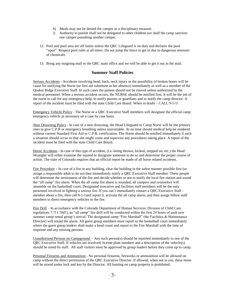- h) Meals may not be denied the camper as a disciplinary measure.
- i) Authority to punish shall not be delegated to other children nor shall the camp sanction one camper punishing another camper.
- 12. Pool and pool area are off limits unless the QRC Lifeguard is on duty and declares the pool "open". Respect pool rules at all times. Do not jump the fence to get in due to dangerous amounts of chemicals.
- 13. Bring any outgoing mail to the QRC main office and we will be able to get it out in the mail.

### **Summer Staff Policies**

Serious Accidents - Accidents involving head, back, neck injury or the possibility of broken bones will be cause for notifying the Nurse (or first aid substitute in her absence) immediately as well as a member of the Quaker Ridge Executive Staff. In such cases the patient should not be moved unless authorized by the medical personnel. When a serious accident occurs, the NURSE should be notified first. It will be the job of the nurse to call for any emergency help, to notify parents or guardians and to notify the camp director. A report of the incident must be filed with the state Child Care Board. When in doubt – CALL 9-1-1!

Emergency Vehicle Policy - The Nurse or a QRC Executive Staff members will designate the official camp emergency vehicle as necessary on a case by case basis.

Near Drowning Policy - In case of a near drowning, the Head Lifeguard or Camp Nurse will be the primary ones to give C.P.R or emergency breathing unless unavailable. At no time should medical help be rendered without current Standard First Aid or C.P.R. certification. The Nurse should be notified immediately if such a situation should occur so that she might come and supervise any procedures taking place. A report of the incident must be filed with the state Child Care Board.

Horse Accidents - In case of this type of accident, (i.e.-being thrown, kicked, stepped on, etc.) the Head Wrangler will either examine the injured or designate someone to do so and determine the proper course of action. The state of Colorado requires that an official report be made of all horse related incidents.

Fire Procedure - In case of a fire in any building, clear the building in the safest manner possible first (or assign a responsible adult to do so) then immediately notify a QRC Executive Staff member. These people will determine the seriousness of the fire and decide whether or not to notify the local fire station and sound the "all camp" fire alarm. When the all camp fire alarm is sounded, all campers and counselors will assemble on the basketball court. Designated executive and facilities staff members will be the only personnel involved in fighting a serious fire. If you can't immediately contact a QRC Executive Staff member about a fire, then call 9-1-1and report it, activate the all camp alarm, and then assign fellow staff members to direct emergency vehicles to the fire.

Fire Drill – In accordance with the Colorado Department of Human Services; Division of Child Care regulations 7.711.76(F), an "all camp" fire drill will be conducted within the first 24 hours of each new summer camp rental group's arrival. The designated camp "Fire Marshall" (the Facilities & Maintenance Director) will sound the alarm. All guest group members must report to the basketball court immediately where the guest group leaders shall make a head count and report to the Fire Marshall with the time of response and any missing persons.

Unauthorized Persons on Campground - Any such person(s) should be reported immediately to one of the QRC Executive Staff. If vehicles are involved, license plate numbers and a description of the vehicle(s) should be noted by staff. All staff visitors must be approved by group leaders before they come up to camp.

Personal Firearms and Ammunition - No personal firearms, fireworks or ammunition will be allowed on camp without the direct permission of the QRC Executive Director. If allowed, when not in use, these items will be stored under lock and key by the Director. All hunting on camp property is prohibited.